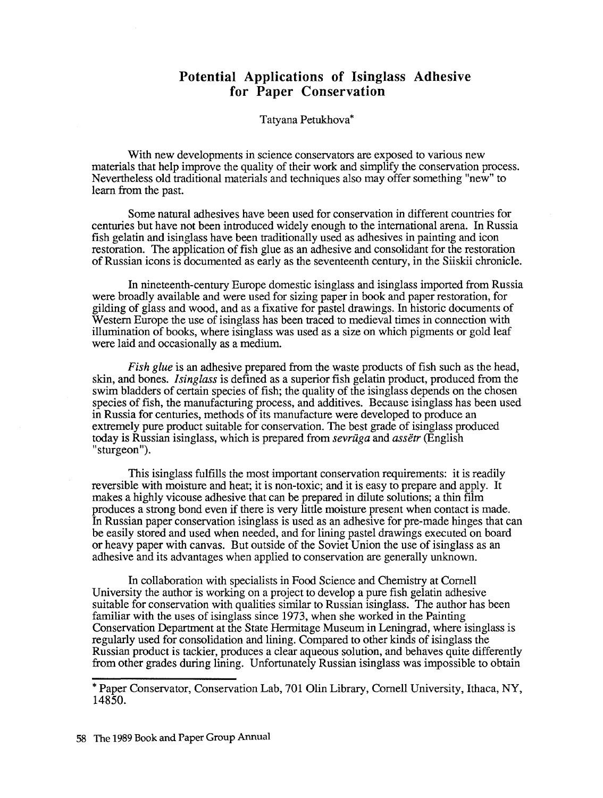## **Potential Applications of Isinglass** Adhesive **for Paper Conservation**

## Tatyana Petukhova\*

With new developments in science conservators are exposed to various new materials that help improve the quality of their work and simplify the conservation process. Nevertheless old traditional materials and techniques also may offer something "new" to learn from the past.

Some natural adhesives have been used for conservation in different countries for centuries but have not been introduced widely enough to the international arena. In Russia fish gelatin and isinglass have been traditionally used as adhesives in painting and icon restoration. The application of fish glue as an adhesive and consolidant for the restoration of Russian icons is documented as early as the seventeenth century, in the Siiskii chronicle.

In nineteenth-century Europe domestic isinglass and isinglass imported from Russia were broadly available and were used for sizing paper in book and paper restoration, for gilding of glass and wood, and as a fixative for pastel drawings. In historic documents of Western Europe the use of isinglass has been traced to medieval times in connection with illumination of books, where isinglass was used as a size on which pigments or gold leaf were laid and occasionally as a medium.

*Fish glue* is an adhesive prepared from the waste products of fish such as the head, skin, and bones. *Isinglass* is defined as a superior fish gelatin product, produced from the swim bladders of certain species of fish; the quality of the isinglass depends on the chosen species of fish, the manufacturing process, and additives. Because isinglass has been used in Russia for centuries, methods of its manufacture were developed to produce an extremely pure product suitable for conservation. The best grade of isinglass produced today is Russian isinglass, which is prepared from *sevriiga* and *assetr* (English "sturgeon").

This isinglass fulfills the most important conservation requirements: it is readily reversible with moisture and heat; it is non-toxic; and it is easy to prepare and apply. It makes a highly vicouse adhesive that can be prepared in dilute solutions; a thin film produces a strong bond even if there is very little moisture present when contact is made. In Russian paper conservation isinglass is used as an adhesive for pre-made hinges that can be easily stored and used when needed, and for lining pastel drawings executed on board or heavy paper with canvas. But outside of the Soviet Union the use of isinglass as an adhesive and its advantages when applied to conservation are generally unknown.

In collaboration with specialists in Food Science and Chemistry at Cornell University the author is working on a project to develop a pure fish gelatin adhesive suitable for conservation with qualities similar to Russian isinglass. The author has been familiar with the uses of isinglass since 1973, when she worked in the Painting Conservation Department at the State Hermitage Museum in Leningrad, where isinglass is regularly used for consolidation and lining. Compared to other kinds of isinglass the Russian product is tackier, produces a clear aqueous solution, and behaves quite differently from other grades during lining. Unfortunately Russian isinglass was impossible to obtain

<sup>\*</sup> Paper Conservator, Conservation Lab, 701 Olin Library, Cornell University, Ithaca, NY, 14850.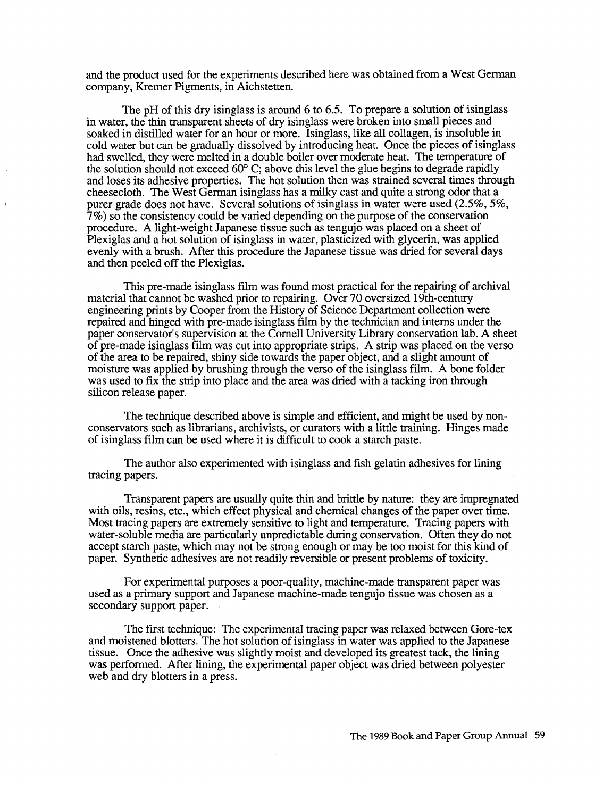and the product used for the experiments described here was obtained from a West German company, Kremer Pigments, in Aichstetten.

The pH of this dry isinglass is around 6 to 6.5. To prepare a solution of isinglass in water, the thin transparent sheets of dry isinglass were broken into small pieces and soaked in distilled water for an hour or more. Isinglass, like all collagen, is insoluble in cold water but can be gradually dissolved by introducing heat. Once the pieces of isinglass had swelled, they were melted in a double boiler over moderate heat. The temperature of the solution should not exceed  $60^{\circ}$  C; above this level the glue begins to degrade rapidly and loses its adhesive properties. The hot solution then was strained several times through cheesecloth. The West German isinglass has a milky cast and quite a strong odor that a purer grade does not have. Several solutions of isinglass in water were used (2.5%, 5%, 7%) so the consistency could be varied depending on the purpose of the conservation procedure. A light-weight Japanese tissue such as tengujo was placed on a sheet of Plexiglas and a hot solution of isinglass in water, plasticized with glycerin, was applied evenly with a brush. After this procedure the Japanese tissue was dried for several days and then peeled off the Plexiglas.

This pre-made isinglass film was found most practical for the repairing of archival material that cannot be washed prior to repairing. Over 70 oversized 19th-century engineering prints by Cooper from the History of Science Department collection were repaired and hinged with pre-made isinglass film by the technician and interns under the paper conservator's supervision at the Cornell University Library conservation lab. A sheet of pre-made isinglass film was cut into appropriate strips. A strip was placed on the verso of the area to be repaired, shiny side towards the paper object, and a slight amount of moisture was applied by brushing through the verso of the isinglass film. A bone folder was used to fix the strip into place and the area was dried with a tacking iron through silicon release paper.

The technique described above is simple and efficient, and might be used by nonconservators such as librarians, archivists, or curators with a little training. Hinges made of isinglass film can be used where it is difficult to cook a starch paste.

The author also experimented with isinglass and fish gelatin adhesives for lining tracing papers.

Transparent papers are usually quite thin and brittle by nature: they are impregnated with oils, resins, etc., which effect physical and chemical changes of the paper over time. Most tracing papers are extremely sensitive to light and temperature. Tracing papers with water-soluble media are particularly unpredictable during conservation. Often they do not accept starch paste, which may not be strong enough or may be too moist for this kind of paper. Synthetic adhesives are not readily reversible or present problems of toxicity.

For experimental purposes a poor-quality, machine-made transparent paper was used as a primary support and Japanese machine-made tengujo tissue was chosen as a secondary support paper.

The first technique: The experimental tracing paper was relaxed between Gore-tex and moistened blotters. The hot solution of isinglass in water was applied to the Japanese tissue. Once the adhesive was slightly moist and developed its greatest tack, the lining was performed. After lining, the experimental paper object was dried between polyester web and dry blotters in a press.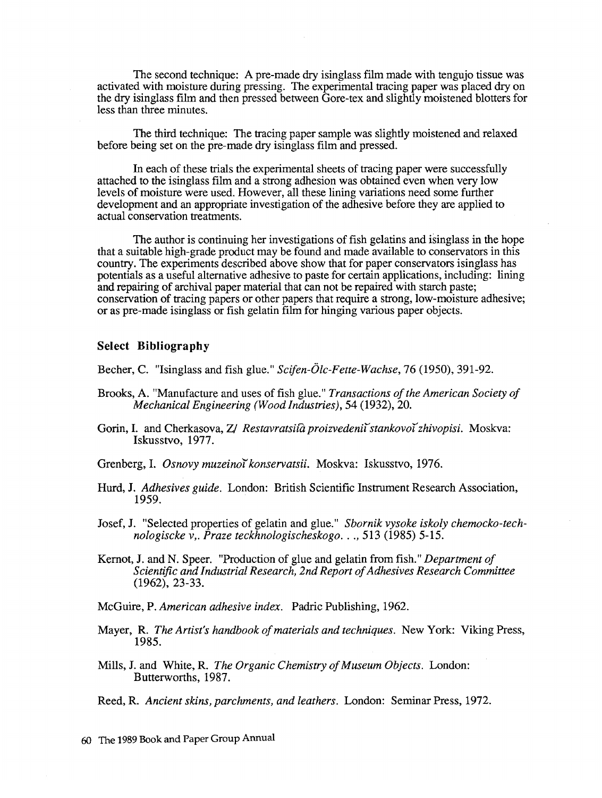The second technique: A pre-made dry isinglass film made with tengujo tissue was activated with moisture during pressing. The experimental tracing paper was placed dry on the dry isinglass film and then pressed between Gore-tex and slightly moistened blotters for less than three minutes.

The third technique: The tracing paper sample was slightly moistened and relaxed before being set on the pre-made dry isinglass film and pressed.

In each of these trials the experimental sheets of tracing paper were successfully attached to the isinglass film and a strong adhesion was obtained even when very low levels of moisture were used. However, all these lining variations need some further development and an appropriate investigation of the adhesive before they are applied to actual conservation treatments.

The author is continuing her investigations of fish gelatins and isinglass in the hope that a suitable high-grade product may be found and made available to conservators in this country. The experiments described above show that for paper conservators isinglass has potentials as a useful alternative adhesive to paste for certain applications, including: lining and repairing of archival paper material that can not be repaired with starch paste; conservation of tracing papers or other papers that require a strong, low-moisture adhesive; or as pre-made isinglass or fish gelatin film for hinging various paper objects.

## **Select Bibliography**

Becher, C. "Isinglass and fish glue." *Scifen-Olc-Fette-Wachse,* 76 (1950), 391-92.

- Brooks, A. "Manufacture and uses of fish glue." *Transactions of the American Society of Mechanical Engineering (Wood Industries),* 54 (1932), 20.
- Gorin, I. and Cherkasova, *Z/ Restavratsi* $\hat{a}$  *proizvedenii stankovoi zhivopisi*. Moskva: Iskusstvo, 1977.
- Grenberg, I. *Osnovy muzeino'ikonservatsii.* Moskva: Iskusstvo, 1976.
- Hurd, **J.** *Adhesives guide.* London: British Scientific Instrument Research Association, 1959. .
- Josef, J. "Selected properties of gelatin and glue." *Sbornik vysoke iskoly chemocko-technologiscke v,. Praze teckhnologischeskogo .* .. , 513 (1985) 5-15.
- Kernot, J. and N. Speer. "Production of glue and gelatin from fish." *Department of Scientific and Industrial Research, 2nd Repon of Adhesives Research Committee*  (1962), 23-33.
- McGuire, P. *American adhesive index.* Padric Publishing, 1962.
- Mayer, **R.** *The Artist's handbook of materials and techniques.* New York: Viking Press, 1985.
- Mills, **J.** and White, R. *The Organic Chemistry of Museum Objects.* London: Butterworths, 1987.

Reed, R. *Ancient skins, parchments, and leathers.* London: Seminar Press, 1972.